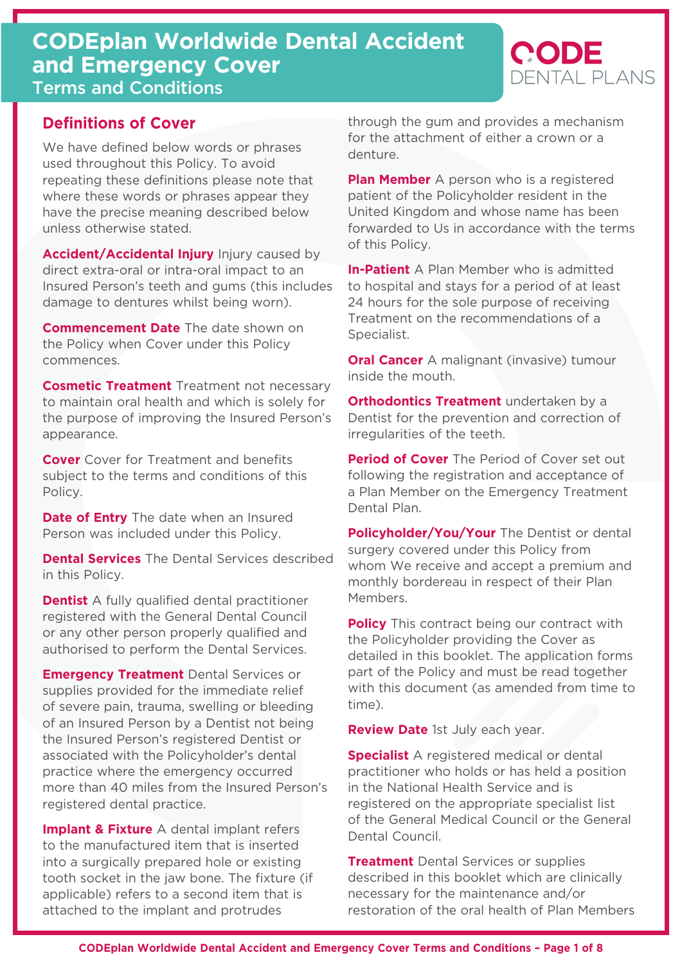# **CODEplan Worldwide Dental Accident and Emergency Cover** Terms and Conditions

# **Definitions of Cover**

We have defined below words or phrases used throughout this Policy. To avoid repeating these definitions please note that where these words or phrases appear they have the precise meaning described below unless otherwise stated.

**Accident/Accidental Injury** Injury caused by direct extra-oral or intra-oral impact to an Insured Person's teeth and gums (this includes damage to dentures whilst being worn).

**Commencement Date** The date shown on the Policy when Cover under this Policy commences.

**Cosmetic Treatment** Treatment not necessary to maintain oral health and which is solely for the purpose of improving the Insured Person's appearance.

**Cover** Cover for Treatment and benefits subject to the terms and conditions of this Policy.

**Date of Entry** The date when an Insured Person was included under this Policy.

**Dental Services** The Dental Services described in this Policy.

**Dentist** A fully qualified dental practitioner registered with the General Dental Council or any other person properly qualified and authorised to perform the Dental Services.

**Emergency Treatment** Dental Services or supplies provided for the immediate relief of severe pain, trauma, swelling or bleeding of an Insured Person by a Dentist not being the Insured Person's registered Dentist or associated with the Policyholder's dental practice where the emergency occurred more than 40 miles from the Insured Person's registered dental practice.

**Implant & Fixture** A dental implant refers to the manufactured item that is inserted into a surgically prepared hole or existing tooth socket in the jaw bone. The fixture (if applicable) refers to a second item that is attached to the implant and protrudes

through the gum and provides a mechanism for the attachment of either a crown or a denture.

**CODE** 

DENTAL PLANS

**Plan Member** A person who is a registered patient of the Policyholder resident in the United Kingdom and whose name has been forwarded to Us in accordance with the terms of this Policy.

**In-Patient** A Plan Member who is admitted to hospital and stays for a period of at least 24 hours for the sole purpose of receiving Treatment on the recommendations of a Specialist.

**Oral Cancer** A malignant (invasive) tumour inside the mouth.

**Orthodontics Treatment** undertaken by a Dentist for the prevention and correction of irregularities of the teeth.

**Period of Cover** The Period of Cover set out following the registration and acceptance of a Plan Member on the Emergency Treatment Dental Plan.

**Policyholder/You/Your** The Dentist or dental surgery covered under this Policy from whom We receive and accept a premium and monthly bordereau in respect of their Plan Members.

**Policy** This contract being our contract with the Policyholder providing the Cover as detailed in this booklet. The application forms part of the Policy and must be read together with this document (as amended from time to time).

**Review Date** 1st July each year.

**Specialist** A registered medical or dental practitioner who holds or has held a position in the National Health Service and is registered on the appropriate specialist list of the General Medical Council or the General Dental Council.

**Treatment** Dental Services or supplies described in this booklet which are clinically necessary for the maintenance and/or restoration of the oral health of Plan Members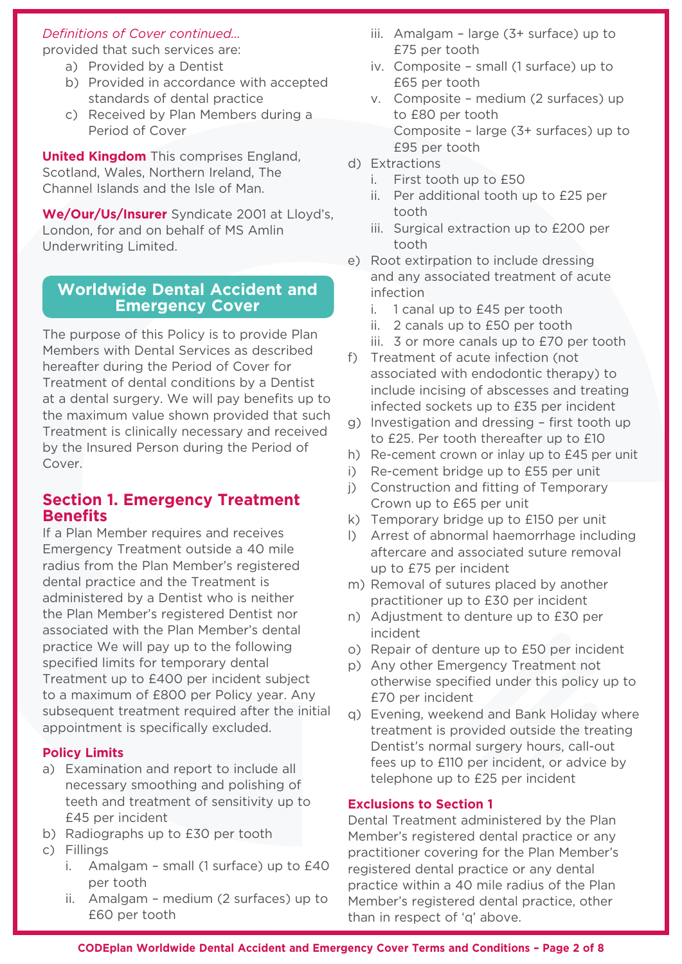#### *Definitions of Cover continued…*

provided that such services are:

- a) Provided by a Dentist
- b) Provided in accordance with accepted standards of dental practice
- c) Received by Plan Members during a Period of Cover

**United Kingdom** This comprises England, Scotland, Wales, Northern Ireland, The Channel Islands and the Isle of Man.

**We/Our/Us/Insurer** Syndicate 2001 at Lloyd's, London, for and on behalf of MS Amlin Underwriting Limited.

## **Worldwide Dental Accident and Emergency Cover**

The purpose of this Policy is to provide Plan Members with Dental Services as described hereafter during the Period of Cover for Treatment of dental conditions by a Dentist at a dental surgery. We will pay benefits up to the maximum value shown provided that such Treatment is clinically necessary and received by the Insured Person during the Period of Cover.

## **Section 1. Emergency Treatment Benefits**

If a Plan Member requires and receives Emergency Treatment outside a 40 mile radius from the Plan Member's registered dental practice and the Treatment is administered by a Dentist who is neither the Plan Member's registered Dentist nor associated with the Plan Member's dental practice We will pay up to the following specified limits for temporary dental Treatment up to £400 per incident subject to a maximum of £800 per Policy year. Any subsequent treatment required after the initial appointment is specifically excluded.

#### **Policy Limits**

- a) Examination and report to include all necessary smoothing and polishing of teeth and treatment of sensitivity up to £45 per incident
- b) Radiographs up to £30 per tooth
- c) Fillings
	- i. Amalgam small (1 surface) up to £40 per tooth
	- ii. Amalgam medium (2 surfaces) up to £60 per tooth
- iii. Amalgam large (3+ surface) up to £75 per tooth
- iv. Composite small (1 surface) up to £65 per tooth
- v. Composite medium (2 surfaces) up to £80 per tooth Composite – large (3+ surfaces) up to £95 per tooth
- d) Extractions
	- i. First tooth up to £50
	- ii. Per additional tooth up to £25 per tooth
	- iii. Surgical extraction up to £200 per tooth
- e) Root extirpation to include dressing and any associated treatment of acute infection
	- i. 1 canal up to £45 per tooth
	- ii. 2 canals up to £50 per tooth
	- iii. 3 or more canals up to £70 per tooth
- f) Treatment of acute infection (not associated with endodontic therapy) to include incising of abscesses and treating infected sockets up to £35 per incident
- g) Investigation and dressing first tooth up to £25. Per tooth thereafter up to £10
- h) Re-cement crown or inlay up to £45 per unit
- i) Re-cement bridge up to £55 per unit
- j) Construction and fitting of Temporary Crown up to £65 per unit
- k) Temporary bridge up to £150 per unit
- l) Arrest of abnormal haemorrhage including aftercare and associated suture removal up to £75 per incident
- m) Removal of sutures placed by another practitioner up to £30 per incident
- n) Adjustment to denture up to £30 per incident
- o) Repair of denture up to £50 per incident
- p) Any other Emergency Treatment not otherwise specified under this policy up to £70 per incident
- q) Evening, weekend and Bank Holiday where treatment is provided outside the treating Dentist's normal surgery hours, call-out fees up to £110 per incident, or advice by telephone up to £25 per incident

#### **Exclusions to Section 1**

Dental Treatment administered by the Plan Member's registered dental practice or any practitioner covering for the Plan Member's registered dental practice or any dental practice within a 40 mile radius of the Plan Member's registered dental practice, other than in respect of 'q' above.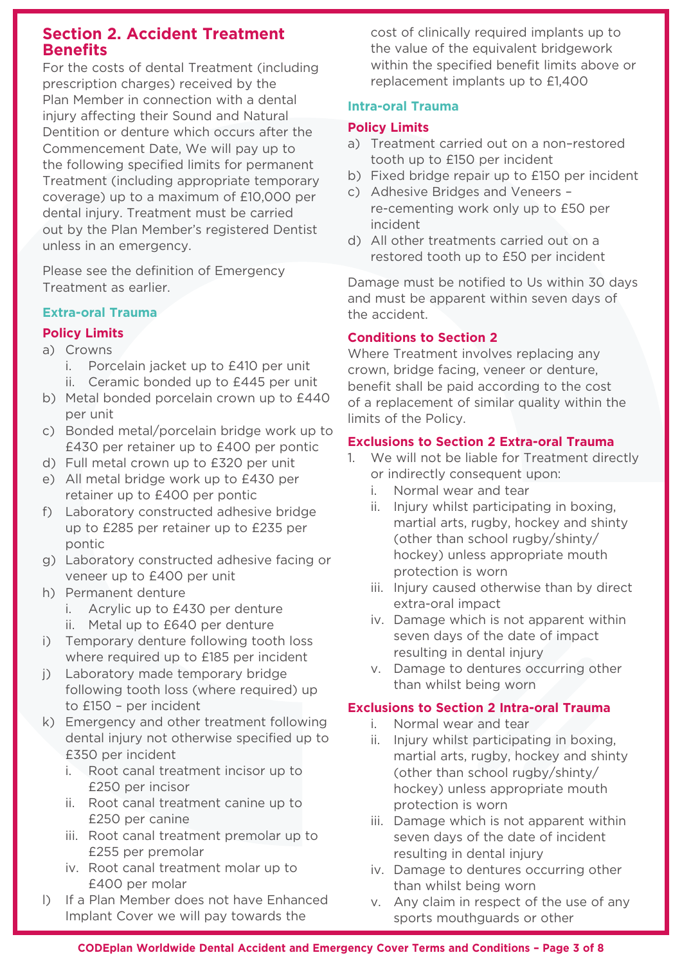## **Section 2. Accident Treatment Benefits**

For the costs of dental Treatment (including prescription charges) received by the Plan Member in connection with a dental injury affecting their Sound and Natural Dentition or denture which occurs after the Commencement Date, We will pay up to the following specified limits for permanent Treatment (including appropriate temporary coverage) up to a maximum of £10,000 per dental injury. Treatment must be carried out by the Plan Member's registered Dentist unless in an emergency.

Please see the definition of Emergency Treatment as earlier.

#### **Extra-oral Trauma**

### **Policy Limits**

- a) Crowns
	- i. Porcelain jacket up to £410 per unit
	- ii. Ceramic bonded up to £445 per unit
- b) Metal bonded porcelain crown up to £440 per unit
- c) Bonded metal/porcelain bridge work up to £430 per retainer up to £400 per pontic
- d) Full metal crown up to £320 per unit
- e) All metal bridge work up to £430 per retainer up to £400 per pontic
- f) Laboratory constructed adhesive bridge up to £285 per retainer up to £235 per pontic
- g) Laboratory constructed adhesive facing or veneer up to £400 per unit
- h) Permanent denture
	- i. Acrylic up to £430 per denture
	- ii. Metal up to £640 per denture
- i) Temporary denture following tooth loss where required up to £185 per incident
- j) Laboratory made temporary bridge following tooth loss (where required) up to £150 – per incident
- k) Emergency and other treatment following dental injury not otherwise specified up to £350 per incident
	- i. Root canal treatment incisor up to £250 per incisor
	- ii. Root canal treatment canine up to £250 per canine
	- iii. Root canal treatment premolar up to £255 per premolar
	- iv. Root canal treatment molar up to £400 per molar
- l) If a Plan Member does not have Enhanced Implant Cover we will pay towards the

cost of clinically required implants up to the value of the equivalent bridgework within the specified benefit limits above or replacement implants up to £1,400

## **Intra-oral Trauma**

### **Policy Limits**

- a) Treatment carried out on a non–restored tooth up to £150 per incident
- b) Fixed bridge repair up to £150 per incident
- c) Adhesive Bridges and Veneers re-cementing work only up to £50 per incident
- d) All other treatments carried out on a restored tooth up to £50 per incident

Damage must be notified to Us within 30 days and must be apparent within seven days of the accident.

#### **Conditions to Section 2**

Where Treatment involves replacing any crown, bridge facing, veneer or denture, benefit shall be paid according to the cost of a replacement of similar quality within the limits of the Policy.

#### **Exclusions to Section 2 Extra-oral Trauma**

- 1. We will not be liable for Treatment directly or indirectly consequent upon:
	- i. Normal wear and tear
	- ii. Injury whilst participating in boxing, martial arts, rugby, hockey and shinty (other than school rugby/shinty/ hockey) unless appropriate mouth protection is worn
	- iii. Injury caused otherwise than by direct extra-oral impact
	- iv. Damage which is not apparent within seven days of the date of impact resulting in dental injury
	- v. Damage to dentures occurring other than whilst being worn

#### **Exclusions to Section 2 Intra-oral Trauma**

- i. Normal wear and tear
- ii. Injury whilst participating in boxing, martial arts, rugby, hockey and shinty (other than school rugby/shinty/ hockey) unless appropriate mouth protection is worn
- iii. Damage which is not apparent within seven days of the date of incident resulting in dental injury
- iv. Damage to dentures occurring other than whilst being worn
- v. Any claim in respect of the use of any sports mouthguards or other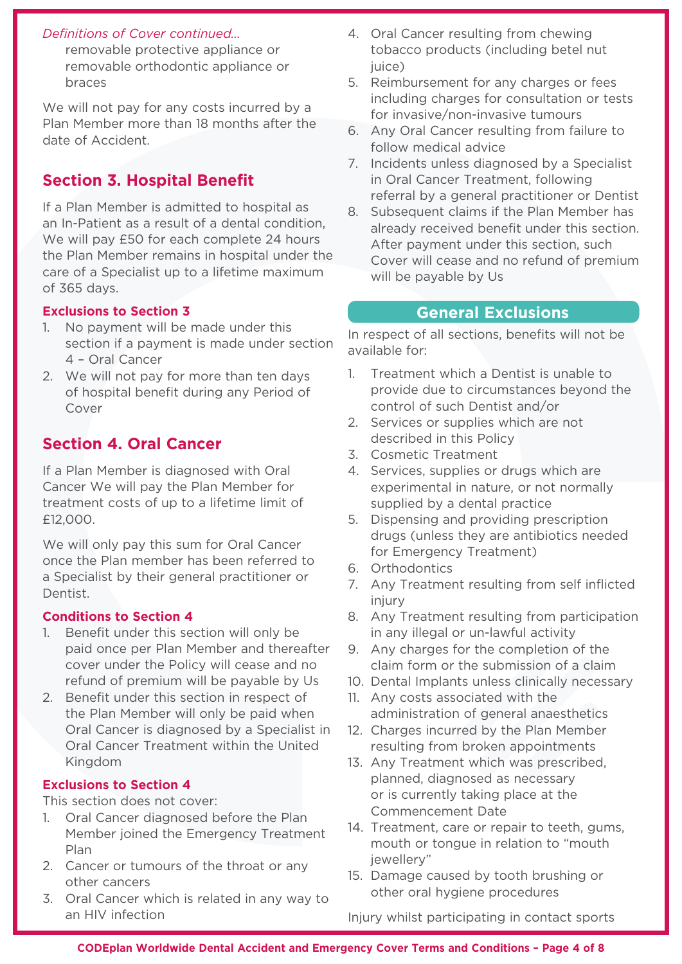#### *Definitions of Cover continued…*

removable protective appliance or removable orthodontic appliance or braces

We will not pay for any costs incurred by a Plan Member more than 18 months after the date of Accident.

# **Section 3. Hospital Benefit**

If a Plan Member is admitted to hospital as an In-Patient as a result of a dental condition, We will pay £50 for each complete 24 hours the Plan Member remains in hospital under the care of a Specialist up to a lifetime maximum of 365 days.

## **Exclusions to Section 3**

- 1. No payment will be made under this section if a payment is made under section 4 – Oral Cancer
- 2. We will not pay for more than ten days of hospital benefit during any Period of Cover

# **Section 4. Oral Cancer**

If a Plan Member is diagnosed with Oral Cancer We will pay the Plan Member for treatment costs of up to a lifetime limit of £12,000.

We will only pay this sum for Oral Cancer once the Plan member has been referred to a Specialist by their general practitioner or Dentist.

#### **Conditions to Section 4**

- 1. Benefit under this section will only be paid once per Plan Member and thereafter cover under the Policy will cease and no refund of premium will be payable by Us
- 2. Benefit under this section in respect of the Plan Member will only be paid when Oral Cancer is diagnosed by a Specialist in Oral Cancer Treatment within the United Kingdom

#### **Exclusions to Section 4**

This section does not cover:

- 1. Oral Cancer diagnosed before the Plan Member joined the Emergency Treatment Plan
- 2. Cancer or tumours of the throat or any other cancers
- 3. Oral Cancer which is related in any way to an HIV infection
- 4. Oral Cancer resulting from chewing tobacco products (including betel nut juice)
- 5. Reimbursement for any charges or fees including charges for consultation or tests for invasive/non-invasive tumours
- 6. Any Oral Cancer resulting from failure to follow medical advice
- 7. Incidents unless diagnosed by a Specialist in Oral Cancer Treatment, following referral by a general practitioner or Dentist
- 8. Subsequent claims if the Plan Member has already received benefit under this section. After payment under this section, such Cover will cease and no refund of premium will be payable by Us

## **General Exclusions**

In respect of all sections, benefits will not be available for:

- 1. Treatment which a Dentist is unable to provide due to circumstances beyond the control of such Dentist and/or
- 2. Services or supplies which are not described in this Policy
- 3. Cosmetic Treatment
- 4. Services, supplies or drugs which are experimental in nature, or not normally supplied by a dental practice
- 5. Dispensing and providing prescription drugs (unless they are antibiotics needed for Emergency Treatment)
- 6. Orthodontics
- 7. Any Treatment resulting from self inflicted injury
- 8. Any Treatment resulting from participation in any illegal or un-lawful activity
- 9. Any charges for the completion of the claim form or the submission of a claim
- 10. Dental Implants unless clinically necessary
- 11. Any costs associated with the administration of general anaesthetics
- 12. Charges incurred by the Plan Member resulting from broken appointments
- 13. Any Treatment which was prescribed, planned, diagnosed as necessary or is currently taking place at the Commencement Date
- 14. Treatment, care or repair to teeth, gums, mouth or tongue in relation to "mouth jewellery"
- 15. Damage caused by tooth brushing or other oral hygiene procedures

Injury whilst participating in contact sports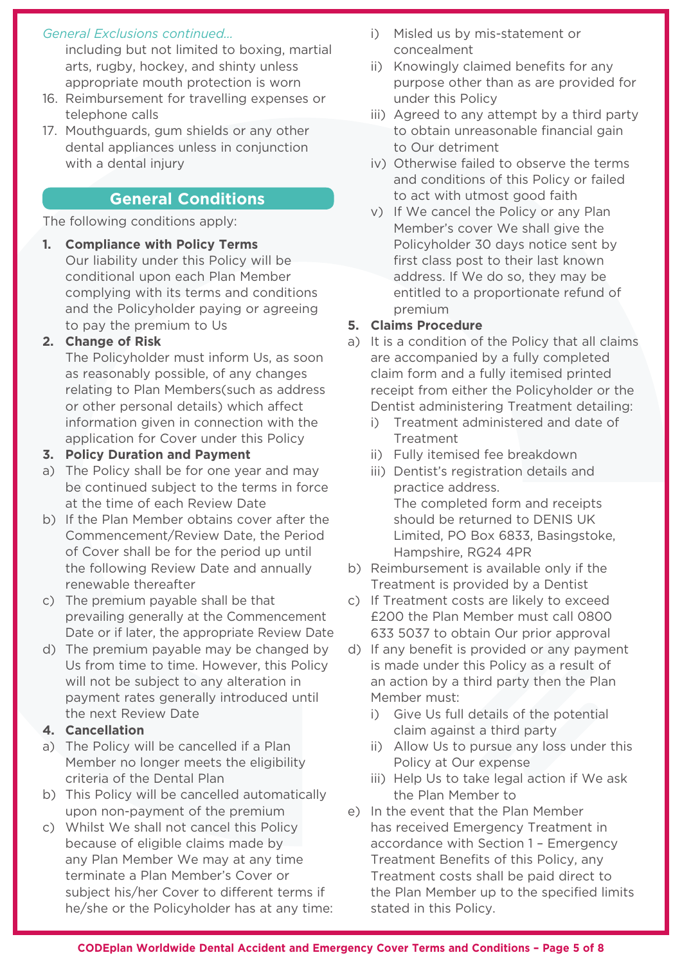#### *General Exclusions continued…*

including but not limited to boxing, martial arts, rugby, hockey, and shinty unless appropriate mouth protection is worn

- 16. Reimbursement for travelling expenses or telephone calls
- 17. Mouthguards, gum shields or any other dental appliances unless in conjunction with a dental injury

## **General Conditions**

The following conditions apply:

**1. Compliance with Policy Terms** Our liability under this Policy will be conditional upon each Plan Member complying with its terms and conditions and the Policyholder paying or agreeing to pay the premium to Us

#### **2. Change of Risk**

The Policyholder must inform Us, as soon as reasonably possible, of any changes relating to Plan Members(such as address or other personal details) which affect information given in connection with the application for Cover under this Policy

#### **3. Policy Duration and Payment**

- a) The Policy shall be for one year and may be continued subject to the terms in force at the time of each Review Date
- b) If the Plan Member obtains cover after the Commencement/Review Date, the Period of Cover shall be for the period up until the following Review Date and annually renewable thereafter
- c) The premium payable shall be that prevailing generally at the Commencement Date or if later, the appropriate Review Date
- d) The premium payable may be changed by Us from time to time. However, this Policy will not be subject to any alteration in payment rates generally introduced until the next Review Date

#### **4. Cancellation**

- a) The Policy will be cancelled if a Plan Member no longer meets the eligibility criteria of the Dental Plan
- b) This Policy will be cancelled automatically upon non-payment of the premium
- c) Whilst We shall not cancel this Policy because of eligible claims made by any Plan Member We may at any time terminate a Plan Member's Cover or subject his/her Cover to different terms if he/she or the Policyholder has at any time:
- i) Misled us by mis-statement or concealment
- ii) Knowingly claimed benefits for any purpose other than as are provided for under this Policy
- iii) Agreed to any attempt by a third party to obtain unreasonable financial gain to Our detriment
- iv) Otherwise failed to observe the terms and conditions of this Policy or failed to act with utmost good faith
- v) If We cancel the Policy or any Plan Member's cover We shall give the Policyholder 30 days notice sent by first class post to their last known address. If We do so, they may be entitled to a proportionate refund of premium

#### **5. Claims Procedure**

- a) It is a condition of the Policy that all claims are accompanied by a fully completed claim form and a fully itemised printed receipt from either the Policyholder or the Dentist administering Treatment detailing:
	- i) Treatment administered and date of Treatment
	- ii) Fully itemised fee breakdown
	- iii) Dentist's registration details and practice address. The completed form and receipts should be returned to DENIS UK Limited, PO Box 6833, Basingstoke, Hampshire, RG24 4PR
- b) Reimbursement is available only if the Treatment is provided by a Dentist
- c) If Treatment costs are likely to exceed £200 the Plan Member must call 0800 633 5037 to obtain Our prior approval
- d) If any benefit is provided or any payment is made under this Policy as a result of an action by a third party then the Plan Member must:
	- i) Give Us full details of the potential claim against a third party
	- ii) Allow Us to pursue any loss under this Policy at Our expense
	- iii) Help Us to take legal action if We ask the Plan Member to
- e) In the event that the Plan Member has received Emergency Treatment in accordance with Section 1 – Emergency Treatment Benefits of this Policy, any Treatment costs shall be paid direct to the Plan Member up to the specified limits stated in this Policy.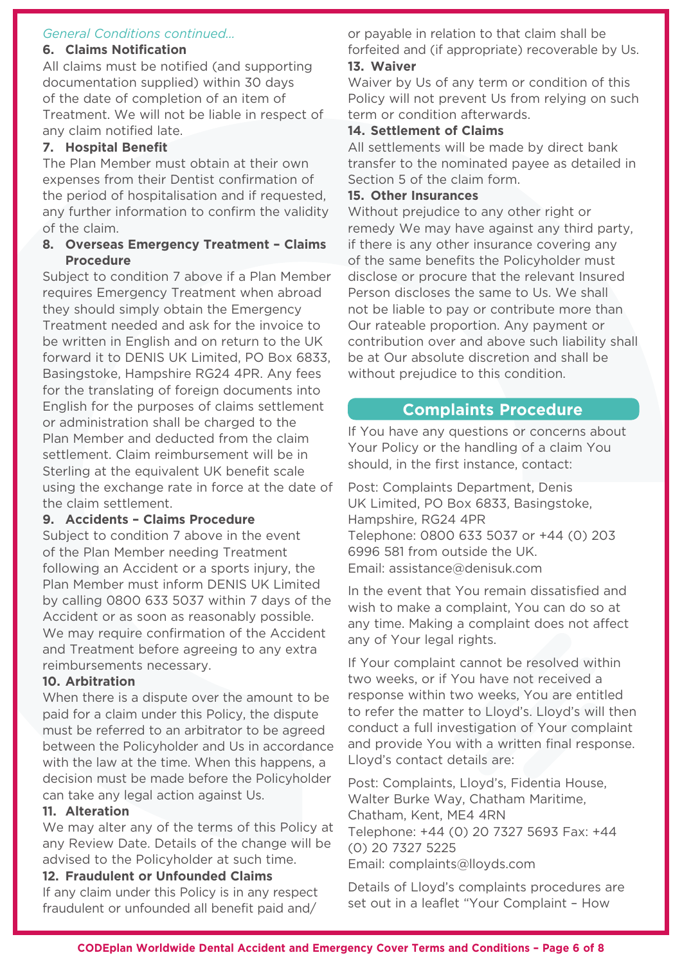#### *General Conditions continued…*

## **6. Claims Notification**

All claims must be notified (and supporting documentation supplied) within 30 days of the date of completion of an item of Treatment. We will not be liable in respect of any claim notified late.

## **7. Hospital Benefit**

The Plan Member must obtain at their own expenses from their Dentist confirmation of the period of hospitalisation and if requested, any further information to confirm the validity of the claim.

#### **8. Overseas Emergency Treatment – Claims Procedure**

Subject to condition 7 above if a Plan Member requires Emergency Treatment when abroad they should simply obtain the Emergency Treatment needed and ask for the invoice to be written in English and on return to the UK forward it to DENIS UK Limited, PO Box 6833, Basingstoke, Hampshire RG24 4PR. Any fees for the translating of foreign documents into English for the purposes of claims settlement or administration shall be charged to the Plan Member and deducted from the claim settlement. Claim reimbursement will be in Sterling at the equivalent UK benefit scale using the exchange rate in force at the date of the claim settlement.

## **9. Accidents – Claims Procedure**

Subject to condition 7 above in the event of the Plan Member needing Treatment following an Accident or a sports injury, the Plan Member must inform DENIS UK Limited by calling 0800 633 5037 within 7 days of the Accident or as soon as reasonably possible. We may require confirmation of the Accident and Treatment before agreeing to any extra reimbursements necessary.

## **10. Arbitration**

When there is a dispute over the amount to be paid for a claim under this Policy, the dispute must be referred to an arbitrator to be agreed between the Policyholder and Us in accordance with the law at the time. When this happens, a decision must be made before the Policyholder can take any legal action against Us.

## **11. Alteration**

We may alter any of the terms of this Policy at any Review Date. Details of the change will be advised to the Policyholder at such time.

# **12. Fraudulent or Unfounded Claims**

If any claim under this Policy is in any respect fraudulent or unfounded all benefit paid and/

or payable in relation to that claim shall be forfeited and (if appropriate) recoverable by Us. **13. Waiver**

Waiver by Us of any term or condition of this Policy will not prevent Us from relying on such term or condition afterwards.

## **14. Settlement of Claims**

All settlements will be made by direct bank transfer to the nominated payee as detailed in Section 5 of the claim form.

## **15. Other Insurances**

Without prejudice to any other right or remedy We may have against any third party, if there is any other insurance covering any of the same benefits the Policyholder must disclose or procure that the relevant Insured Person discloses the same to Us. We shall not be liable to pay or contribute more than Our rateable proportion. Any payment or contribution over and above such liability shall be at Our absolute discretion and shall be without prejudice to this condition.

## **Complaints Procedure**

If You have any questions or concerns about Your Policy or the handling of a claim You should, in the first instance, contact:

Post: Complaints Department, Denis UK Limited, PO Box 6833, Basingstoke, Hampshire, RG24 4PR Telephone: 0800 633 5037 or +44 (0) 203 6996 581 from outside the UK. Email: assistance@denisuk.com

In the event that You remain dissatisfied and wish to make a complaint, You can do so at any time. Making a complaint does not affect any of Your legal rights.

If Your complaint cannot be resolved within two weeks, or if You have not received a response within two weeks, You are entitled to refer the matter to Lloyd's. Lloyd's will then conduct a full investigation of Your complaint and provide You with a written final response. Lloyd's contact details are:

Post: Complaints, Lloyd's, Fidentia House, Walter Burke Way, Chatham Maritime, Chatham, Kent, ME4 4RN Telephone: +44 (0) 20 7327 5693 Fax: +44 (0) 20 7327 5225 Email: complaints@lloyds.com

Details of Lloyd's complaints procedures are set out in a leaflet "Your Complaint – How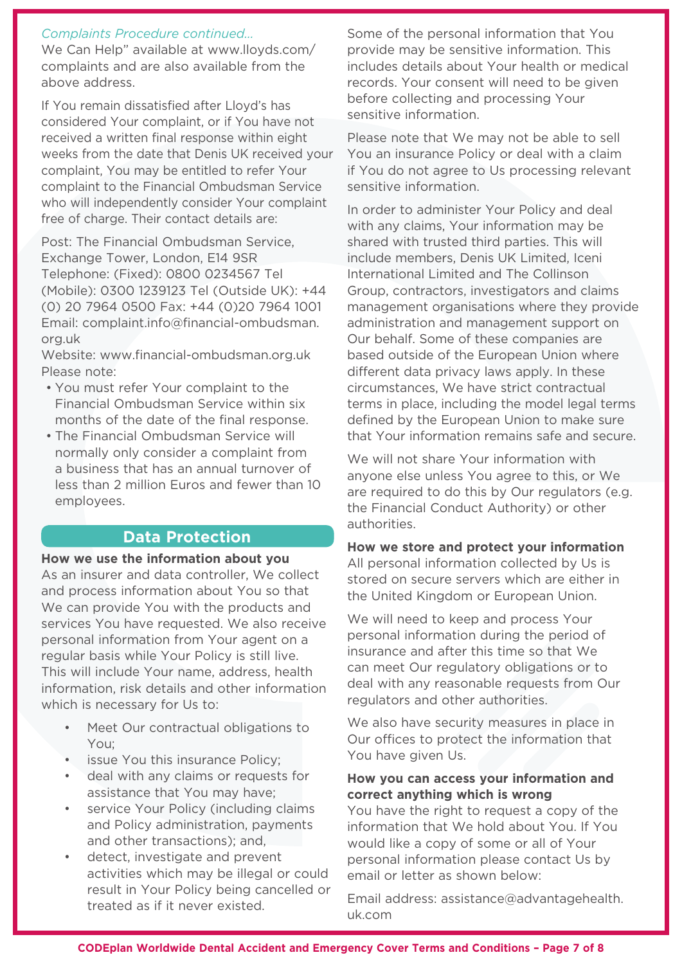#### *Complaints Procedure continued…*

We Can Help" available at www.lloyds.com/ complaints and are also available from the above address.

If You remain dissatisfied after Lloyd's has considered Your complaint, or if You have not received a written final response within eight weeks from the date that Denis UK received your complaint, You may be entitled to refer Your complaint to the Financial Ombudsman Service who will independently consider Your complaint free of charge. Their contact details are:

Post: The Financial Ombudsman Service, Exchange Tower, London, E14 9SR Telephone: (Fixed): 0800 0234567 Tel (Mobile): 0300 1239123 Tel (Outside UK): +44 (0) 20 7964 0500 Fax: +44 (0)20 7964 1001 Email: complaint.info@financial-ombudsman. org.uk

Website: www.financial-ombudsman.org.uk Please note:

- You must refer Your complaint to the Financial Ombudsman Service within six months of the date of the final response.
- The Financial Ombudsman Service will normally only consider a complaint from a business that has an annual turnover of less than 2 million Euros and fewer than 10 employees.

## **Data Protection**

#### **How we use the information about you**

As an insurer and data controller, We collect and process information about You so that We can provide You with the products and services You have requested. We also receive personal information from Your agent on a regular basis while Your Policy is still live. This will include Your name, address, health information, risk details and other information which is necessary for Us to:

- Meet Our contractual obligations to You;
- issue You this insurance Policy;
- deal with any claims or requests for assistance that You may have;
- service Your Policy (including claims and Policy administration, payments and other transactions); and,
- detect, investigate and prevent activities which may be illegal or could result in Your Policy being cancelled or treated as if it never existed.

Some of the personal information that You provide may be sensitive information. This includes details about Your health or medical records. Your consent will need to be given before collecting and processing Your sensitive information.

Please note that We may not be able to sell You an insurance Policy or deal with a claim if You do not agree to Us processing relevant sensitive information.

In order to administer Your Policy and deal with any claims, Your information may be shared with trusted third parties. This will include members, Denis UK Limited, Iceni International Limited and The Collinson Group, contractors, investigators and claims management organisations where they provide administration and management support on Our behalf. Some of these companies are based outside of the European Union where different data privacy laws apply. In these circumstances, We have strict contractual terms in place, including the model legal terms defined by the European Union to make sure that Your information remains safe and secure.

We will not share Your information with anyone else unless You agree to this, or We are required to do this by Our regulators (e.g. the Financial Conduct Authority) or other authorities.

#### **How we store and protect your information**

All personal information collected by Us is stored on secure servers which are either in the United Kingdom or European Union.

We will need to keep and process Your personal information during the period of insurance and after this time so that We can meet Our regulatory obligations or to deal with any reasonable requests from Our regulators and other authorities.

We also have security measures in place in Our offices to protect the information that You have given Us.

#### **How you can access your information and correct anything which is wrong**

You have the right to request a copy of the information that We hold about You. If You would like a copy of some or all of Your personal information please contact Us by email or letter as shown below:

Email address: assistance@advantagehealth. uk.com